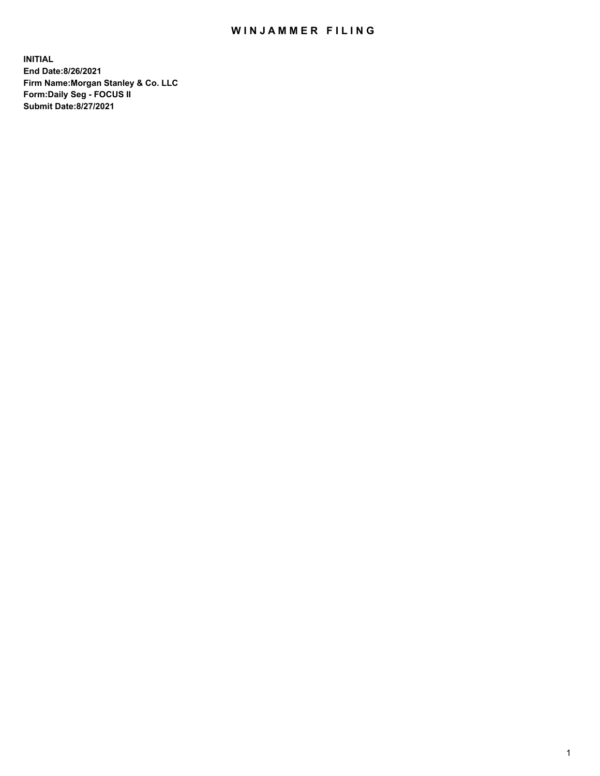## WIN JAMMER FILING

**INITIAL End Date:8/26/2021 Firm Name:Morgan Stanley & Co. LLC Form:Daily Seg - FOCUS II Submit Date:8/27/2021**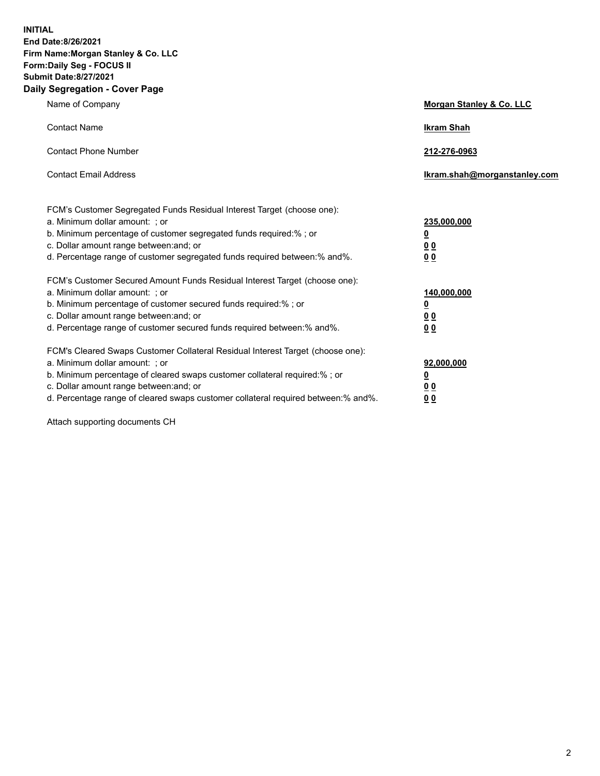**INITIAL End Date:8/26/2021 Firm Name:Morgan Stanley & Co. LLC Form:Daily Seg - FOCUS II Submit Date:8/27/2021 Daily Segregation - Cover Page**

| Name of Company                                                                                                                                                                                                                                                                                                                | Morgan Stanley & Co. LLC                                    |
|--------------------------------------------------------------------------------------------------------------------------------------------------------------------------------------------------------------------------------------------------------------------------------------------------------------------------------|-------------------------------------------------------------|
| <b>Contact Name</b>                                                                                                                                                                                                                                                                                                            | <b>Ikram Shah</b>                                           |
| <b>Contact Phone Number</b>                                                                                                                                                                                                                                                                                                    | 212-276-0963                                                |
| <b>Contact Email Address</b>                                                                                                                                                                                                                                                                                                   | lkram.shah@morganstanley.com                                |
| FCM's Customer Segregated Funds Residual Interest Target (choose one):<br>a. Minimum dollar amount: ; or<br>b. Minimum percentage of customer segregated funds required:% ; or<br>c. Dollar amount range between: and; or<br>d. Percentage range of customer segregated funds required between:% and%.                         | 235,000,000<br><u>0</u><br>0 <sup>0</sup><br>00             |
| FCM's Customer Secured Amount Funds Residual Interest Target (choose one):<br>a. Minimum dollar amount: ; or<br>b. Minimum percentage of customer secured funds required:%; or<br>c. Dollar amount range between: and; or<br>d. Percentage range of customer secured funds required between: % and %.                          | 140,000,000<br><u>0</u><br>0 <sub>0</sub><br>0 <sub>0</sub> |
| FCM's Cleared Swaps Customer Collateral Residual Interest Target (choose one):<br>a. Minimum dollar amount: ; or<br>b. Minimum percentage of cleared swaps customer collateral required:% ; or<br>c. Dollar amount range between: and; or<br>d. Percentage range of cleared swaps customer collateral required between:% and%. | 92,000,000<br><u>0</u><br><u>00</u><br>00                   |

Attach supporting documents CH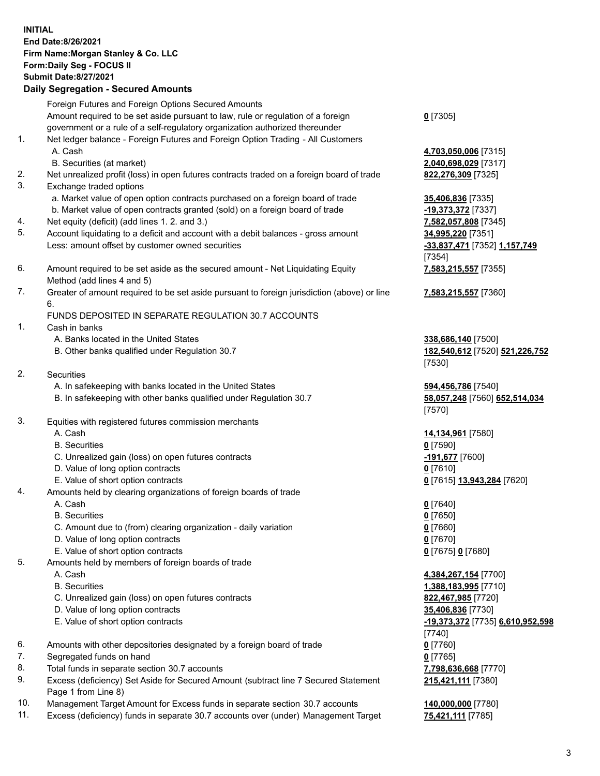## **INITIAL End Date:8/26/2021 Firm Name:Morgan Stanley & Co. LLC Form:Daily Seg - FOCUS II Submit Date:8/27/2021 Daily Segregation - Secured Amounts**

Foreign Futures and Foreign Options Secured Amounts Amount required to be set aside pursuant to law, rule or regulation of a foreign government or a rule of a self-regulatory organization authorized thereunder

- 1. Net ledger balance Foreign Futures and Foreign Option Trading All Customers A. Cash **4,703,050,006** [7315]
	- B. Securities (at market) **2,040,698,029** [7317]
- 2. Net unrealized profit (loss) in open futures contracts traded on a foreign board of trade **822,276,309** [7325]
- 3. Exchange traded options
	- a. Market value of open option contracts purchased on a foreign board of trade **35,406,836** [7335]
	- b. Market value of open contracts granted (sold) on a foreign board of trade **-19,373,372** [7337]
- 4. Net equity (deficit) (add lines 1. 2. and 3.) **7,582,057,808** [7345]
- 5. Account liquidating to a deficit and account with a debit balances gross amount **34,995,220** [7351] Less: amount offset by customer owned securities **-33,837,471** [7352] **1,157,749**
- 6. Amount required to be set aside as the secured amount Net Liquidating Equity Method (add lines 4 and 5)
- 7. Greater of amount required to be set aside pursuant to foreign jurisdiction (above) or line 6.

## FUNDS DEPOSITED IN SEPARATE REGULATION 30.7 ACCOUNTS

- 1. Cash in banks
	- A. Banks located in the United States **338,686,140** [7500]
	- B. Other banks qualified under Regulation 30.7 **182,540,612** [7520] **521,226,752**
- 2. Securities
	- A. In safekeeping with banks located in the United States **594,456,786** [7540]
	- B. In safekeeping with other banks qualified under Regulation 30.7 **58,057,248** [7560] **652,514,034**
- 3. Equities with registered futures commission merchants
	-
	- B. Securities **0** [7590]
	- C. Unrealized gain (loss) on open futures contracts **-191,677** [7600]
	- D. Value of long option contracts **0** [7610]
	- E. Value of short option contracts **0** [7615] **13,943,284** [7620]
- 4. Amounts held by clearing organizations of foreign boards of trade
	-
	- B. Securities **0** [7650]
	- C. Amount due to (from) clearing organization daily variation **0** [7660]
	- D. Value of long option contracts **0** [7670]
	- E. Value of short option contracts **0** [7675] **0** [7680]
- 5. Amounts held by members of foreign boards of trade
	-
	-
	- C. Unrealized gain (loss) on open futures contracts **822,467,985** [7720]
	- D. Value of long option contracts **35,406,836** [7730]
	-
- 6. Amounts with other depositories designated by a foreign board of trade **0** [7760]
- 7. Segregated funds on hand **0** [7765]
- 8. Total funds in separate section 30.7 accounts **7,798,636,668** [7770]
- 9. Excess (deficiency) Set Aside for Secured Amount (subtract line 7 Secured Statement Page 1 from Line 8)
- 10. Management Target Amount for Excess funds in separate section 30.7 accounts **140,000,000** [7780]
- 11. Excess (deficiency) funds in separate 30.7 accounts over (under) Management Target **75,421,111** [7785]

**0** [7305]

[7354] **7,583,215,557** [7355]

**7,583,215,557** [7360]

[7530]

[7570]

A. Cash **14,134,961** [7580]

A. Cash **0** [7640]

 A. Cash **4,384,267,154** [7700] B. Securities **1,388,183,995** [7710] E. Value of short option contracts **-19,373,372** [7735] **6,610,952,598** [7740] **215,421,111** [7380]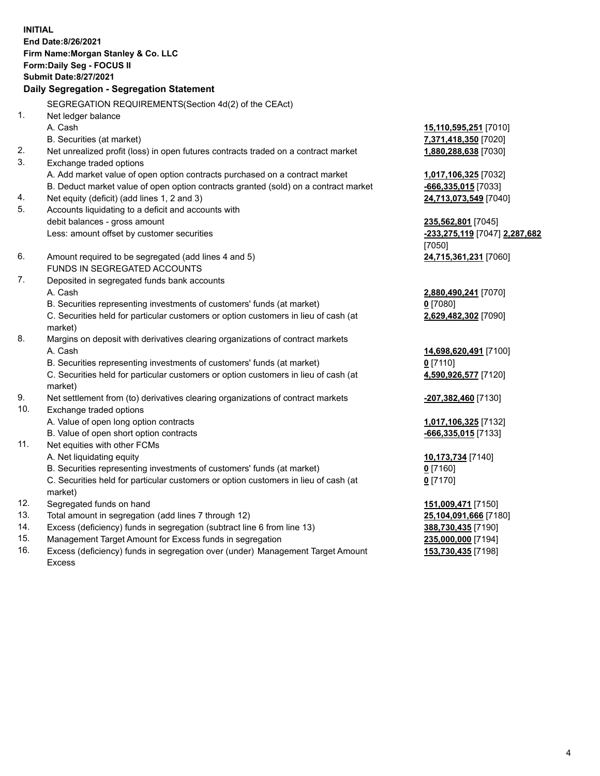**INITIAL End Date:8/26/2021 Firm Name:Morgan Stanley & Co. LLC Form:Daily Seg - FOCUS II Submit Date:8/27/2021 Daily Segregation - Segregation Statement** SEGREGATION REQUIREMENTS(Section 4d(2) of the CEAct) 1. Net ledger balance A. Cash **15,110,595,251** [7010] B. Securities (at market) **7,371,418,350** [7020] 2. Net unrealized profit (loss) in open futures contracts traded on a contract market **1,880,288,638** [7030] 3. Exchange traded options A. Add market value of open option contracts purchased on a contract market **1,017,106,325** [7032] B. Deduct market value of open option contracts granted (sold) on a contract market **-666,335,015** [7033] 4. Net equity (deficit) (add lines 1, 2 and 3) **24,713,073,549** [7040] 5. Accounts liquidating to a deficit and accounts with debit balances - gross amount **235,562,801** [7045] Less: amount offset by customer securities **-233,275,119** [7047] **2,287,682** [7050] 6. Amount required to be segregated (add lines 4 and 5) **24,715,361,231** [7060] FUNDS IN SEGREGATED ACCOUNTS 7. Deposited in segregated funds bank accounts A. Cash **2,880,490,241** [7070] B. Securities representing investments of customers' funds (at market) **0** [7080] C. Securities held for particular customers or option customers in lieu of cash (at market) **2,629,482,302** [7090] 8. Margins on deposit with derivatives clearing organizations of contract markets A. Cash **14,698,620,491** [7100] B. Securities representing investments of customers' funds (at market) **0** [7110] C. Securities held for particular customers or option customers in lieu of cash (at market) **4,590,926,577** [7120] 9. Net settlement from (to) derivatives clearing organizations of contract markets **-207,382,460** [7130] 10. Exchange traded options A. Value of open long option contracts **1,017,106,325** [7132] B. Value of open short option contracts **and the set of our original contracts -666,335,015** [7133] 11. Net equities with other FCMs A. Net liquidating equity **10,173,734** [7140] B. Securities representing investments of customers' funds (at market) **0** [7160] C. Securities held for particular customers or option customers in lieu of cash (at market) **0** [7170] 12. Segregated funds on hand **151,009,471** [7150] 13. Total amount in segregation (add lines 7 through 12) **25,104,091,666** [7180] 14. Excess (deficiency) funds in segregation (subtract line 6 from line 13) **388,730,435** [7190] 15. Management Target Amount for Excess funds in segregation **235,000,000** [7194]

16. Excess (deficiency) funds in segregation over (under) Management Target Amount Excess

**153,730,435** [7198]